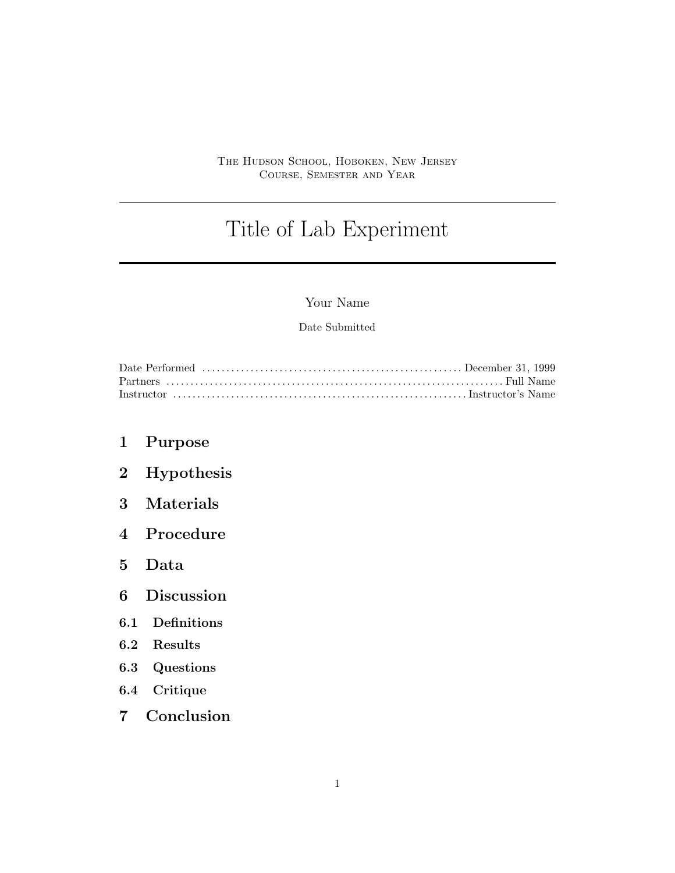#### The Hudson School, Hoboken, New Jersey Course, Semester and Year

# Title of Lab Experiment

## Your Name

### Date Submitted

- 1 Purpose
- 2 Hypothesis
- 3 Materials
- 4 Procedure
- 5 Data
- 6 Discussion
- 6.1 Definitions
- 6.2 Results
- 6.3 Questions
- 6.4 Critique
- 7 Conclusion